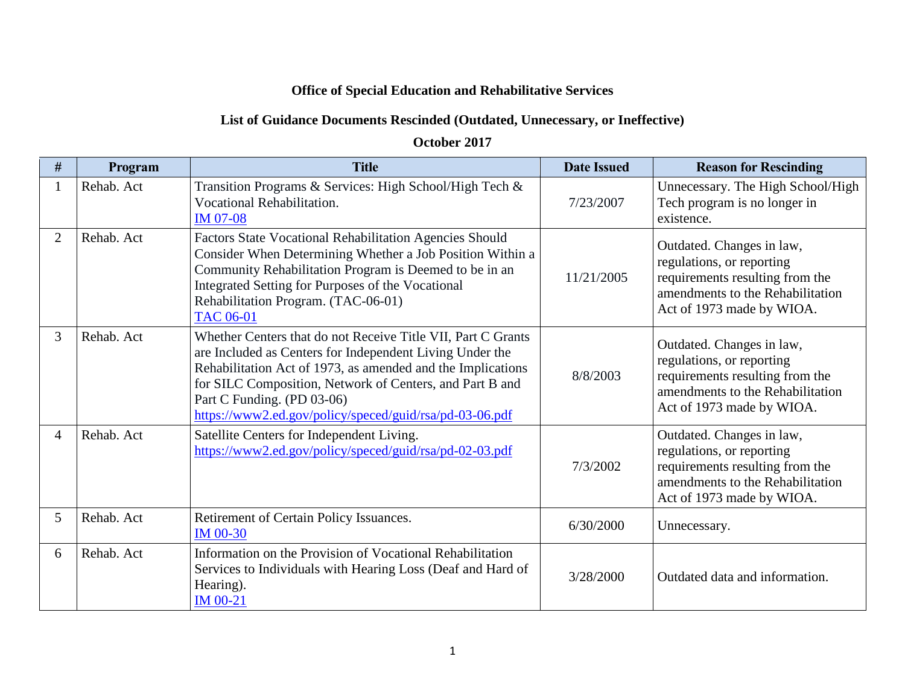## **Office of Special Education and Rehabilitative Services**

## **List of Guidance Documents Rescinded (Outdated, Unnecessary, or Ineffective)**

## **October 2017**

| #              | Program    | <b>Title</b>                                                                                                                                                                                                                                                                                                                                 | <b>Date Issued</b> | <b>Reason for Rescinding</b>                                                                                                                               |
|----------------|------------|----------------------------------------------------------------------------------------------------------------------------------------------------------------------------------------------------------------------------------------------------------------------------------------------------------------------------------------------|--------------------|------------------------------------------------------------------------------------------------------------------------------------------------------------|
|                | Rehab. Act | Transition Programs & Services: High School/High Tech &<br>Vocational Rehabilitation.<br><b>IM 07-08</b>                                                                                                                                                                                                                                     | 7/23/2007          | Unnecessary. The High School/High<br>Tech program is no longer in<br>existence.                                                                            |
| $\overline{2}$ | Rehab. Act | <b>Factors State Vocational Rehabilitation Agencies Should</b><br>Consider When Determining Whether a Job Position Within a<br>Community Rehabilitation Program is Deemed to be in an<br>Integrated Setting for Purposes of the Vocational<br>Rehabilitation Program. (TAC-06-01)<br><b>TAC 06-01</b>                                        | 11/21/2005         | Outdated. Changes in law,<br>regulations, or reporting<br>requirements resulting from the<br>amendments to the Rehabilitation<br>Act of 1973 made by WIOA. |
| 3              | Rehab. Act | Whether Centers that do not Receive Title VII, Part C Grants<br>are Included as Centers for Independent Living Under the<br>Rehabilitation Act of 1973, as amended and the Implications<br>for SILC Composition, Network of Centers, and Part B and<br>Part C Funding. (PD 03-06)<br>https://www2.ed.gov/policy/speced/guid/rsa/pd-03-06.pdf | 8/8/2003           | Outdated. Changes in law,<br>regulations, or reporting<br>requirements resulting from the<br>amendments to the Rehabilitation<br>Act of 1973 made by WIOA. |
| 4              | Rehab. Act | Satellite Centers for Independent Living.<br>https://www2.ed.gov/policy/speced/guid/rsa/pd-02-03.pdf                                                                                                                                                                                                                                         | 7/3/2002           | Outdated. Changes in law,<br>regulations, or reporting<br>requirements resulting from the<br>amendments to the Rehabilitation<br>Act of 1973 made by WIOA. |
| 5              | Rehab. Act | Retirement of Certain Policy Issuances.<br>IM $00-30$                                                                                                                                                                                                                                                                                        | 6/30/2000          | Unnecessary.                                                                                                                                               |
| 6              | Rehab. Act | Information on the Provision of Vocational Rehabilitation<br>Services to Individuals with Hearing Loss (Deaf and Hard of<br>Hearing).<br><b>IM 00-21</b>                                                                                                                                                                                     | 3/28/2000          | Outdated data and information.                                                                                                                             |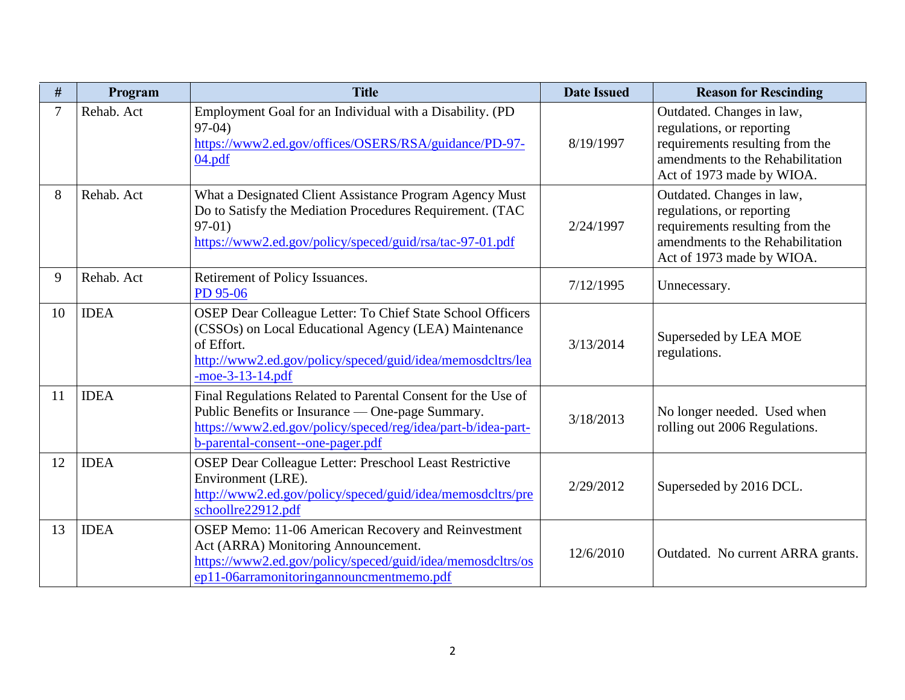| #              | Program     | <b>Title</b>                                                                                                                                                                                                          | <b>Date Issued</b> | <b>Reason for Rescinding</b>                                                                                                                               |
|----------------|-------------|-----------------------------------------------------------------------------------------------------------------------------------------------------------------------------------------------------------------------|--------------------|------------------------------------------------------------------------------------------------------------------------------------------------------------|
| $\overline{7}$ | Rehab. Act  | Employment Goal for an Individual with a Disability. (PD<br>$97-04$<br>https://www2.ed.gov/offices/OSERS/RSA/guidance/PD-97-<br>04.pdf                                                                                | 8/19/1997          | Outdated. Changes in law,<br>regulations, or reporting<br>requirements resulting from the<br>amendments to the Rehabilitation<br>Act of 1973 made by WIOA. |
| 8              | Rehab. Act  | What a Designated Client Assistance Program Agency Must<br>Do to Satisfy the Mediation Procedures Requirement. (TAC<br>$97-01)$<br>https://www2.ed.gov/policy/speced/guid/rsa/tac-97-01.pdf                           | 2/24/1997          | Outdated. Changes in law,<br>regulations, or reporting<br>requirements resulting from the<br>amendments to the Rehabilitation<br>Act of 1973 made by WIOA. |
| 9              | Rehab. Act  | Retirement of Policy Issuances.<br>PD 95-06                                                                                                                                                                           | 7/12/1995          | Unnecessary.                                                                                                                                               |
| 10             | <b>IDEA</b> | OSEP Dear Colleague Letter: To Chief State School Officers<br>(CSSOs) on Local Educational Agency (LEA) Maintenance<br>of Effort.<br>http://www2.ed.gov/policy/speced/guid/idea/memosdcltrs/lea<br>$-moe-3-13-14.pdf$ | 3/13/2014          | Superseded by LEA MOE<br>regulations.                                                                                                                      |
| 11             | <b>IDEA</b> | Final Regulations Related to Parental Consent for the Use of<br>Public Benefits or Insurance — One-page Summary.<br>https://www2.ed.gov/policy/speced/reg/idea/part-b/idea-part-<br>b-parental-consent--one-pager.pdf | 3/18/2013          | No longer needed. Used when<br>rolling out 2006 Regulations.                                                                                               |
| 12             | <b>IDEA</b> | OSEP Dear Colleague Letter: Preschool Least Restrictive<br>Environment (LRE).<br>http://www2.ed.gov/policy/speced/guid/idea/memosdcltrs/pre<br>schoollre22912.pdf                                                     | 2/29/2012          | Superseded by 2016 DCL.                                                                                                                                    |
| 13             | <b>IDEA</b> | OSEP Memo: 11-06 American Recovery and Reinvestment<br>Act (ARRA) Monitoring Announcement.<br>https://www2.ed.gov/policy/speced/guid/idea/memosdcltrs/os<br>ep11-06arramonitoringannouncmentmemo.pdf                  | 12/6/2010          | Outdated. No current ARRA grants.                                                                                                                          |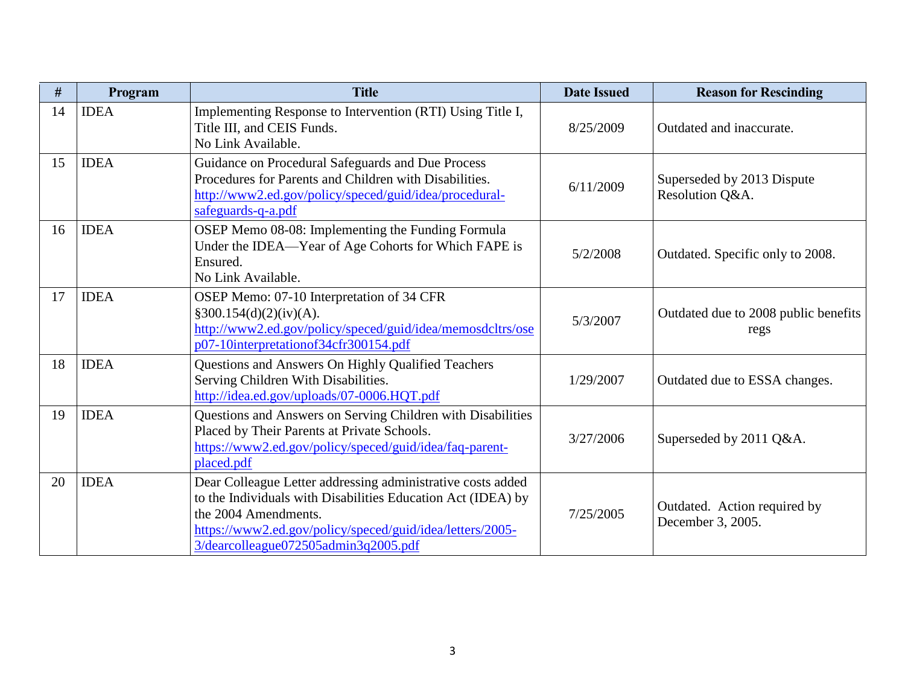| #  | Program     | <b>Title</b>                                                                                                                                                                                                                                             | <b>Date Issued</b> | <b>Reason for Rescinding</b>                      |
|----|-------------|----------------------------------------------------------------------------------------------------------------------------------------------------------------------------------------------------------------------------------------------------------|--------------------|---------------------------------------------------|
| 14 | <b>IDEA</b> | Implementing Response to Intervention (RTI) Using Title I,<br>Title III, and CEIS Funds.<br>No Link Available.                                                                                                                                           | 8/25/2009          | Outdated and inaccurate.                          |
| 15 | <b>IDEA</b> | Guidance on Procedural Safeguards and Due Process<br>Procedures for Parents and Children with Disabilities.<br>http://www2.ed.gov/policy/speced/guid/idea/procedural-<br>safeguards-q-a.pdf                                                              | 6/11/2009          | Superseded by 2013 Dispute<br>Resolution Q&A.     |
| 16 | <b>IDEA</b> | OSEP Memo 08-08: Implementing the Funding Formula<br>Under the IDEA—Year of Age Cohorts for Which FAPE is<br>Ensured.<br>No Link Available.                                                                                                              | 5/2/2008           | Outdated. Specific only to 2008.                  |
| 17 | <b>IDEA</b> | OSEP Memo: 07-10 Interpretation of 34 CFR<br>§300.154(d)(2)(iv)(A).<br>http://www2.ed.gov/policy/speced/guid/idea/memosdcltrs/ose<br>p07-10interpretationof34cfr300154.pdf                                                                               | 5/3/2007           | Outdated due to 2008 public benefits<br>regs      |
| 18 | <b>IDEA</b> | Questions and Answers On Highly Qualified Teachers<br>Serving Children With Disabilities.<br>http://idea.ed.gov/uploads/07-0006.HQT.pdf                                                                                                                  | 1/29/2007          | Outdated due to ESSA changes.                     |
| 19 | <b>IDEA</b> | Questions and Answers on Serving Children with Disabilities<br>Placed by Their Parents at Private Schools.<br>https://www2.ed.gov/policy/speced/guid/idea/faq-parent-<br>placed.pdf                                                                      | 3/27/2006          | Superseded by 2011 Q&A.                           |
| 20 | <b>IDEA</b> | Dear Colleague Letter addressing administrative costs added<br>to the Individuals with Disabilities Education Act (IDEA) by<br>the 2004 Amendments.<br>https://www2.ed.gov/policy/speced/guid/idea/letters/2005-<br>3/dearcolleague072505admin3q2005.pdf | 7/25/2005          | Outdated. Action required by<br>December 3, 2005. |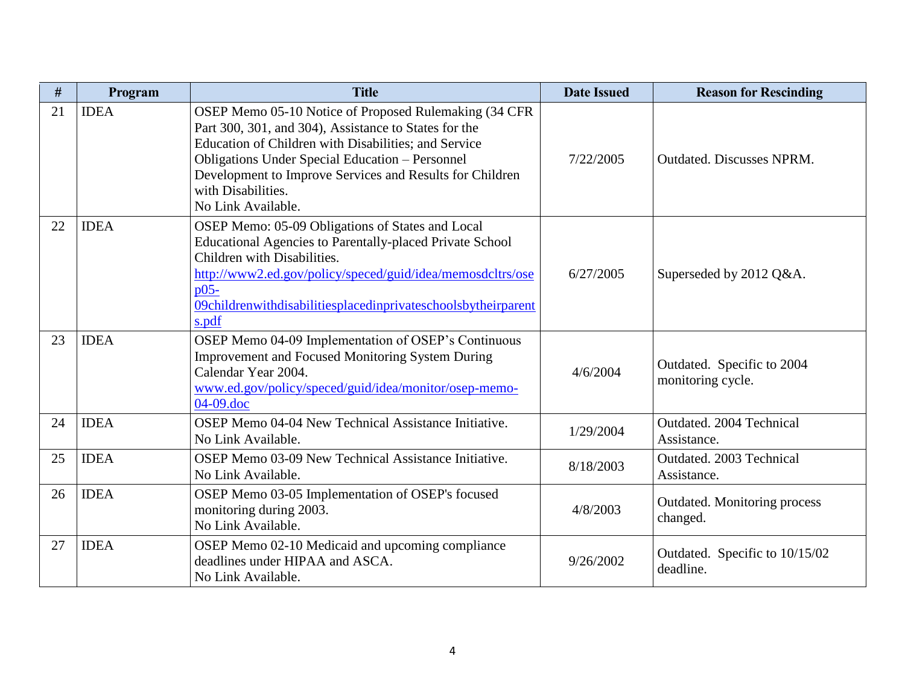| #  | Program     | <b>Title</b>                                                                                                                                                                                                                                                                                                                             | <b>Date Issued</b> | <b>Reason for Rescinding</b>                    |
|----|-------------|------------------------------------------------------------------------------------------------------------------------------------------------------------------------------------------------------------------------------------------------------------------------------------------------------------------------------------------|--------------------|-------------------------------------------------|
| 21 | <b>IDEA</b> | OSEP Memo 05-10 Notice of Proposed Rulemaking (34 CFR<br>Part 300, 301, and 304), Assistance to States for the<br>Education of Children with Disabilities; and Service<br><b>Obligations Under Special Education – Personnel</b><br>Development to Improve Services and Results for Children<br>with Disabilities.<br>No Link Available. | 7/22/2005          | <b>Outdated. Discusses NPRM.</b>                |
| 22 | <b>IDEA</b> | OSEP Memo: 05-09 Obligations of States and Local<br>Educational Agencies to Parentally-placed Private School<br>Children with Disabilities.<br>http://www2.ed.gov/policy/speced/guid/idea/memosdcltrs/ose<br>D <sub>05</sub><br>09childrenwithdisabilitiesplacedinprivateschoolsbytheirparent<br>s.pdf                                   | 6/27/2005          | Superseded by 2012 Q&A.                         |
| 23 | <b>IDEA</b> | OSEP Memo 04-09 Implementation of OSEP's Continuous<br><b>Improvement and Focused Monitoring System During</b><br>Calendar Year 2004.<br>www.ed.gov/policy/speced/guid/idea/monitor/osep-memo-<br>04-09.doc                                                                                                                              | 4/6/2004           | Outdated. Specific to 2004<br>monitoring cycle. |
| 24 | <b>IDEA</b> | OSEP Memo 04-04 New Technical Assistance Initiative.<br>No Link Available.                                                                                                                                                                                                                                                               | 1/29/2004          | Outdated. 2004 Technical<br>Assistance.         |
| 25 | <b>IDEA</b> | OSEP Memo 03-09 New Technical Assistance Initiative.<br>No Link Available.                                                                                                                                                                                                                                                               | 8/18/2003          | Outdated. 2003 Technical<br>Assistance.         |
| 26 | <b>IDEA</b> | OSEP Memo 03-05 Implementation of OSEP's focused<br>monitoring during 2003.<br>No Link Available.                                                                                                                                                                                                                                        | 4/8/2003           | Outdated. Monitoring process<br>changed.        |
| 27 | <b>IDEA</b> | OSEP Memo 02-10 Medicaid and upcoming compliance<br>deadlines under HIPAA and ASCA.<br>No Link Available.                                                                                                                                                                                                                                | 9/26/2002          | Outdated. Specific to 10/15/02<br>deadline.     |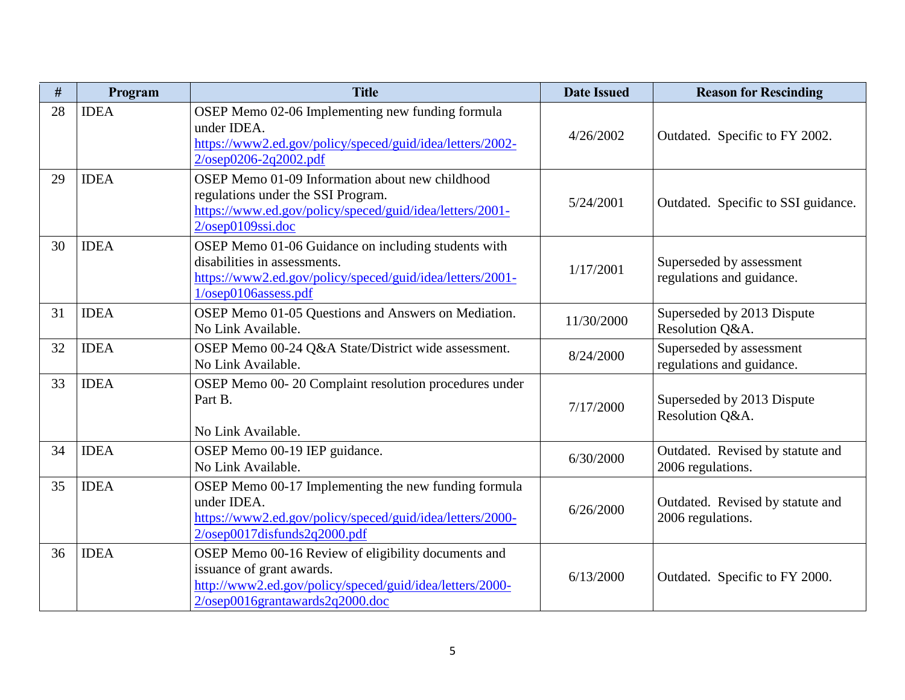| #  | Program     | <b>Title</b>                                                                                                                                                                           | <b>Date Issued</b> | <b>Reason for Rescinding</b>                          |
|----|-------------|----------------------------------------------------------------------------------------------------------------------------------------------------------------------------------------|--------------------|-------------------------------------------------------|
| 28 | <b>IDEA</b> | OSEP Memo 02-06 Implementing new funding formula<br>under IDEA.<br>https://www2.ed.gov/policy/speced/guid/idea/letters/2002-<br>$2/osep0206 - 2q2002.pdf$                              | 4/26/2002          | Outdated. Specific to FY 2002.                        |
| 29 | <b>IDEA</b> | OSEP Memo 01-09 Information about new childhood<br>regulations under the SSI Program.<br>https://www.ed.gov/policy/speced/guid/idea/letters/2001-<br>2/osep0109ssi.doc                 | 5/24/2001          | Outdated. Specific to SSI guidance.                   |
| 30 | <b>IDEA</b> | OSEP Memo 01-06 Guidance on including students with<br>disabilities in assessments.<br>https://www2.ed.gov/policy/speced/guid/idea/letters/2001-<br>$1/osep0106$ assess.pdf            | 1/17/2001          | Superseded by assessment<br>regulations and guidance. |
| 31 | <b>IDEA</b> | OSEP Memo 01-05 Questions and Answers on Mediation.<br>No Link Available.                                                                                                              | 11/30/2000         | Superseded by 2013 Dispute<br>Resolution Q&A.         |
| 32 | <b>IDEA</b> | OSEP Memo 00-24 Q&A State/District wide assessment.<br>No Link Available.                                                                                                              | 8/24/2000          | Superseded by assessment<br>regulations and guidance. |
| 33 | <b>IDEA</b> | OSEP Memo 00-20 Complaint resolution procedures under<br>Part B.<br>No Link Available.                                                                                                 | 7/17/2000          | Superseded by 2013 Dispute<br>Resolution Q&A.         |
| 34 | <b>IDEA</b> | OSEP Memo 00-19 IEP guidance.<br>No Link Available.                                                                                                                                    | 6/30/2000          | Outdated. Revised by statute and<br>2006 regulations. |
| 35 | <b>IDEA</b> | OSEP Memo 00-17 Implementing the new funding formula<br>under IDEA.<br>https://www2.ed.gov/policy/speced/guid/idea/letters/2000-<br>2/osep0017disfunds2q2000.pdf                       | 6/26/2000          | Outdated. Revised by statute and<br>2006 regulations. |
| 36 | <b>IDEA</b> | OSEP Memo 00-16 Review of eligibility documents and<br>issuance of grant awards.<br>http://www2.ed.gov/policy/speced/guid/idea/letters/2000-<br>$2/osep0016$ grantawards $2q2000$ .doc | 6/13/2000          | Outdated. Specific to FY 2000.                        |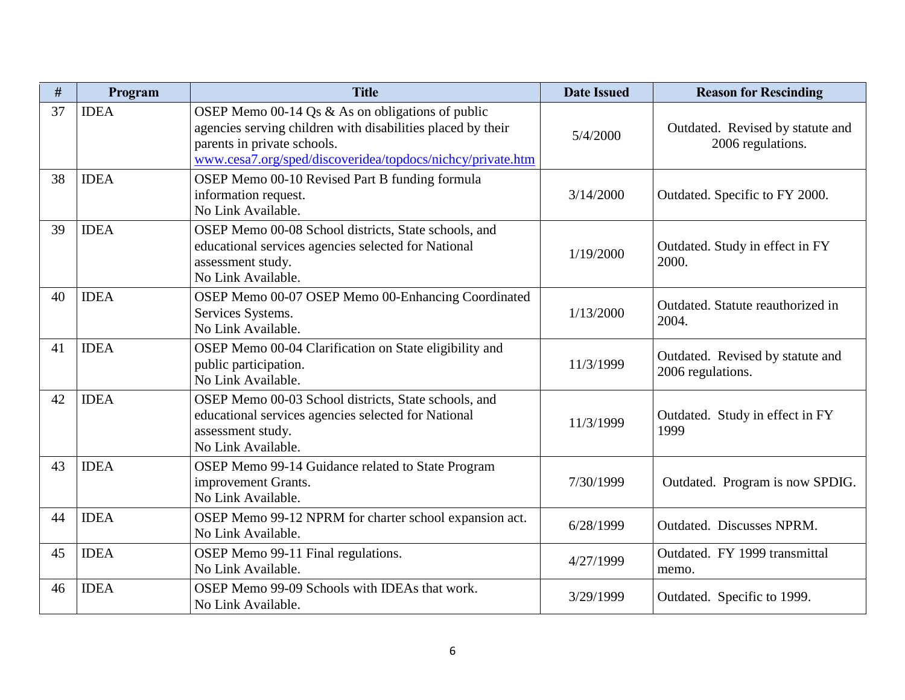| #  | Program     | <b>Title</b>                                                                                                                                                                                                 | <b>Date Issued</b> | <b>Reason for Rescinding</b>                          |
|----|-------------|--------------------------------------------------------------------------------------------------------------------------------------------------------------------------------------------------------------|--------------------|-------------------------------------------------------|
| 37 | <b>IDEA</b> | OSEP Memo 00-14 Qs & As on obligations of public<br>agencies serving children with disabilities placed by their<br>parents in private schools.<br>www.cesa7.org/sped/discoveridea/topdocs/nichcy/private.htm | 5/4/2000           | Outdated. Revised by statute and<br>2006 regulations. |
| 38 | <b>IDEA</b> | OSEP Memo 00-10 Revised Part B funding formula<br>information request.<br>No Link Available.                                                                                                                 | 3/14/2000          | Outdated. Specific to FY 2000.                        |
| 39 | <b>IDEA</b> | OSEP Memo 00-08 School districts, State schools, and<br>educational services agencies selected for National<br>assessment study.<br>No Link Available.                                                       | 1/19/2000          | Outdated. Study in effect in FY<br>2000.              |
| 40 | <b>IDEA</b> | OSEP Memo 00-07 OSEP Memo 00-Enhancing Coordinated<br>Services Systems.<br>No Link Available.                                                                                                                | 1/13/2000          | Outdated. Statute reauthorized in<br>2004.            |
| 41 | <b>IDEA</b> | OSEP Memo 00-04 Clarification on State eligibility and<br>public participation.<br>No Link Available.                                                                                                        | 11/3/1999          | Outdated. Revised by statute and<br>2006 regulations. |
| 42 | <b>IDEA</b> | OSEP Memo 00-03 School districts, State schools, and<br>educational services agencies selected for National<br>assessment study.<br>No Link Available.                                                       | 11/3/1999          | Outdated. Study in effect in FY<br>1999               |
| 43 | <b>IDEA</b> | OSEP Memo 99-14 Guidance related to State Program<br>improvement Grants.<br>No Link Available.                                                                                                               | 7/30/1999          | Outdated. Program is now SPDIG.                       |
| 44 | <b>IDEA</b> | OSEP Memo 99-12 NPRM for charter school expansion act.<br>No Link Available.                                                                                                                                 | 6/28/1999          | Outdated. Discusses NPRM.                             |
| 45 | <b>IDEA</b> | OSEP Memo 99-11 Final regulations.<br>No Link Available.                                                                                                                                                     | 4/27/1999          | Outdated. FY 1999 transmittal<br>memo.                |
| 46 | <b>IDEA</b> | OSEP Memo 99-09 Schools with IDEAs that work.<br>No Link Available.                                                                                                                                          | 3/29/1999          | Outdated. Specific to 1999.                           |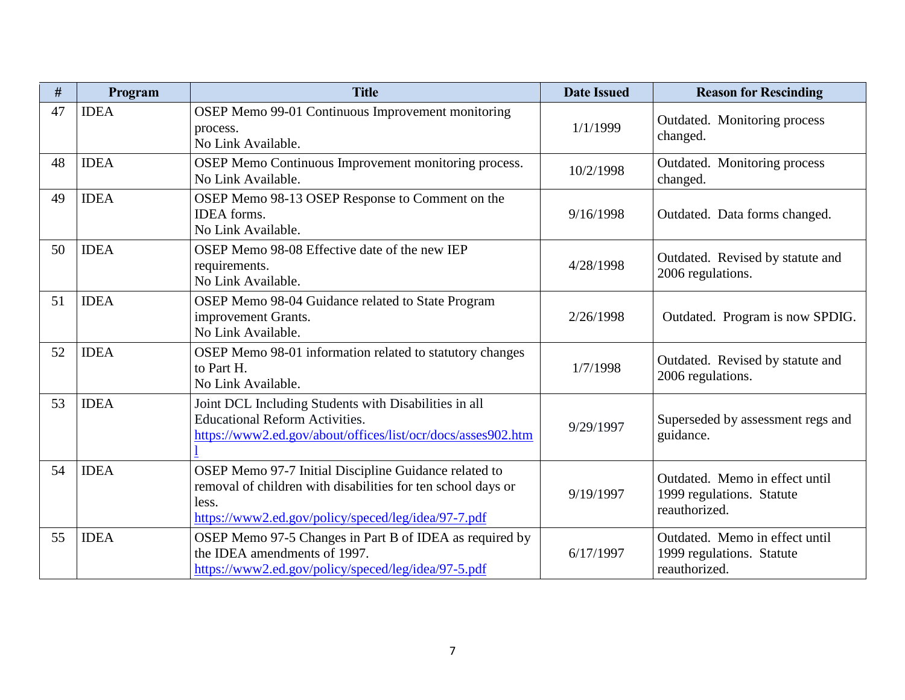| #  | Program     | <b>Title</b>                                                                                                                                                                          | <b>Date Issued</b> | <b>Reason for Rescinding</b>                                                 |
|----|-------------|---------------------------------------------------------------------------------------------------------------------------------------------------------------------------------------|--------------------|------------------------------------------------------------------------------|
| 47 | <b>IDEA</b> | OSEP Memo 99-01 Continuous Improvement monitoring<br>process.<br>No Link Available.                                                                                                   | 1/1/1999           | Outdated. Monitoring process<br>changed.                                     |
| 48 | <b>IDEA</b> | OSEP Memo Continuous Improvement monitoring process.<br>No Link Available.                                                                                                            | 10/2/1998          | Outdated. Monitoring process<br>changed.                                     |
| 49 | <b>IDEA</b> | OSEP Memo 98-13 OSEP Response to Comment on the<br><b>IDEA</b> forms.<br>No Link Available.                                                                                           | 9/16/1998          | Outdated. Data forms changed.                                                |
| 50 | <b>IDEA</b> | OSEP Memo 98-08 Effective date of the new IEP<br>requirements.<br>No Link Available.                                                                                                  | 4/28/1998          | Outdated. Revised by statute and<br>2006 regulations.                        |
| 51 | <b>IDEA</b> | OSEP Memo 98-04 Guidance related to State Program<br>improvement Grants.<br>No Link Available.                                                                                        | 2/26/1998          | Outdated. Program is now SPDIG.                                              |
| 52 | <b>IDEA</b> | OSEP Memo 98-01 information related to statutory changes<br>to Part H.<br>No Link Available.                                                                                          | 1/7/1998           | Outdated. Revised by statute and<br>2006 regulations.                        |
| 53 | <b>IDEA</b> | Joint DCL Including Students with Disabilities in all<br><b>Educational Reform Activities.</b><br>https://www2.ed.gov/about/offices/list/ocr/docs/asses902.htm                        | 9/29/1997          | Superseded by assessment regs and<br>guidance.                               |
| 54 | <b>IDEA</b> | OSEP Memo 97-7 Initial Discipline Guidance related to<br>removal of children with disabilities for ten school days or<br>less.<br>https://www2.ed.gov/policy/speced/leg/idea/97-7.pdf | 9/19/1997          | Outdated. Memo in effect until<br>1999 regulations. Statute<br>reauthorized. |
| 55 | <b>IDEA</b> | OSEP Memo 97-5 Changes in Part B of IDEA as required by<br>the IDEA amendments of 1997.<br>https://www2.ed.gov/policy/speced/leg/idea/97-5.pdf                                        | 6/17/1997          | Outdated. Memo in effect until<br>1999 regulations. Statute<br>reauthorized. |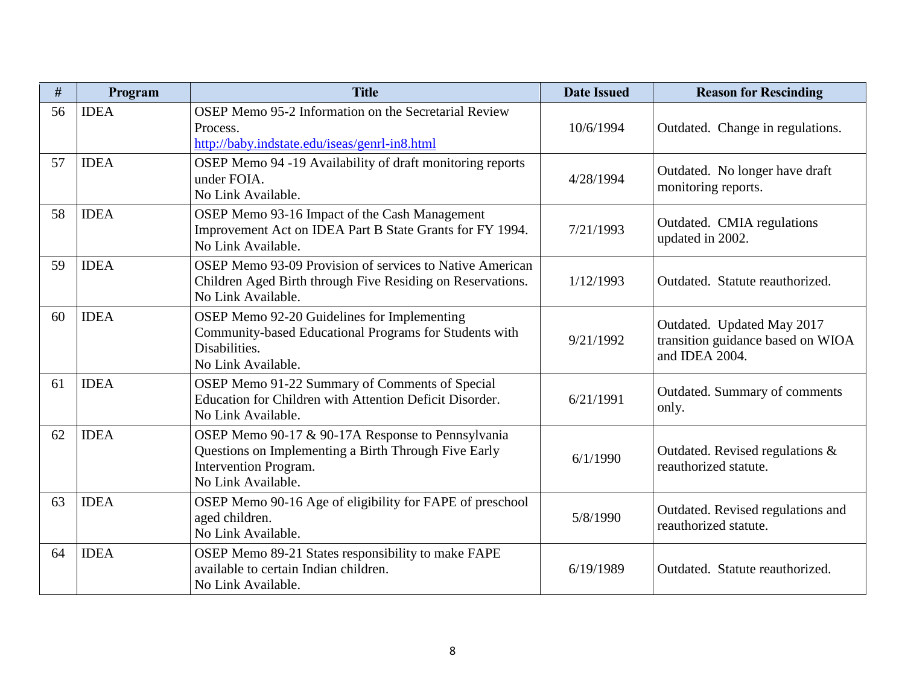| #  | Program     | <b>Title</b>                                                                                                                                             | <b>Date Issued</b> | <b>Reason for Rescinding</b>                                                      |
|----|-------------|----------------------------------------------------------------------------------------------------------------------------------------------------------|--------------------|-----------------------------------------------------------------------------------|
| 56 | <b>IDEA</b> | OSEP Memo 95-2 Information on the Secretarial Review<br>Process.<br>http://baby.indstate.edu/iseas/genrl-in8.html                                        | 10/6/1994          | Outdated. Change in regulations.                                                  |
| 57 | <b>IDEA</b> | OSEP Memo 94 -19 Availability of draft monitoring reports<br>under FOIA.<br>No Link Available.                                                           | 4/28/1994          | Outdated. No longer have draft<br>monitoring reports.                             |
| 58 | <b>IDEA</b> | OSEP Memo 93-16 Impact of the Cash Management<br>Improvement Act on IDEA Part B State Grants for FY 1994.<br>No Link Available.                          | 7/21/1993          | Outdated. CMIA regulations<br>updated in 2002.                                    |
| 59 | <b>IDEA</b> | OSEP Memo 93-09 Provision of services to Native American<br>Children Aged Birth through Five Residing on Reservations.<br>No Link Available.             | 1/12/1993          | Outdated. Statute reauthorized.                                                   |
| 60 | <b>IDEA</b> | OSEP Memo 92-20 Guidelines for Implementing<br>Community-based Educational Programs for Students with<br>Disabilities.<br>No Link Available.             | 9/21/1992          | Outdated. Updated May 2017<br>transition guidance based on WIOA<br>and IDEA 2004. |
| 61 | <b>IDEA</b> | OSEP Memo 91-22 Summary of Comments of Special<br>Education for Children with Attention Deficit Disorder.<br>No Link Available.                          | 6/21/1991          | Outdated. Summary of comments<br>only.                                            |
| 62 | <b>IDEA</b> | OSEP Memo 90-17 & 90-17A Response to Pennsylvania<br>Questions on Implementing a Birth Through Five Early<br>Intervention Program.<br>No Link Available. | 6/1/1990           | Outdated. Revised regulations $\&$<br>reauthorized statute.                       |
| 63 | <b>IDEA</b> | OSEP Memo 90-16 Age of eligibility for FAPE of preschool<br>aged children.<br>No Link Available.                                                         | 5/8/1990           | Outdated. Revised regulations and<br>reauthorized statute.                        |
| 64 | <b>IDEA</b> | OSEP Memo 89-21 States responsibility to make FAPE<br>available to certain Indian children.<br>No Link Available.                                        | 6/19/1989          | Outdated. Statute reauthorized.                                                   |